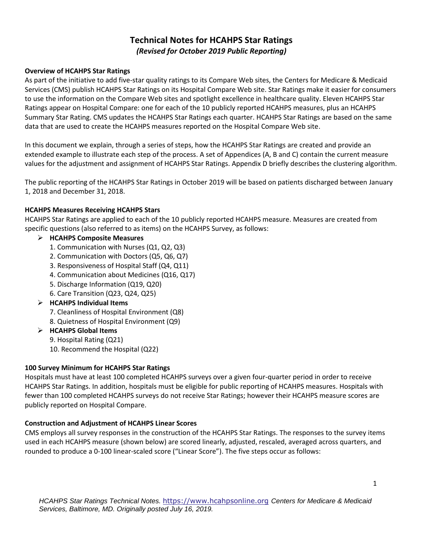# **Technical Notes for HCAHPS Star Ratings** *(Revised for October 2019 Public Reporting)*

#### **Overview of HCAHPS Star Ratings**

As part of the initiative to add five-star quality ratings to its Compare Web sites, the Centers for Medicare & Medicaid Services (CMS) publish HCAHPS Star Ratings on its Hospital Compare Web site. Star Ratings make it easier for consumers to use the information on the Compare Web sites and spotlight excellence in healthcare quality. Eleven HCAHPS Star Ratings appear on Hospital Compare: one for each of the 10 publicly reported HCAHPS measures, plus an HCAHPS Summary Star Rating. CMS updates the HCAHPS Star Ratings each quarter. HCAHPS Star Ratings are based on the same data that are used to create the HCAHPS measures reported on the Hospital Compare Web site.

In this document we explain, through a series of steps, how the HCAHPS Star Ratings are created and provide an extended example to illustrate each step of the process. A set of Appendices (A, B and C) contain the current measure values for the adjustment and assignment of HCAHPS Star Ratings. Appendix D briefly describes the clustering algorithm.

The public reporting of the HCAHPS Star Ratings in October 2019 will be based on patients discharged between January 1, 2018 and December 31, 2018.

### **HCAHPS Measures Receiving HCAHPS Stars**

HCAHPS Star Ratings are applied to each of the 10 publicly reported HCAHPS measure. Measures are created from specific questions (also referred to as items) on the HCAHPS Survey, as follows:

- ➢ **HCAHPS Composite Measures** 
	- 1. Communication with Nurses (Q1, Q2, Q3)
	- 2. Communication with Doctors (Q5, Q6, Q7)
	- 3. Responsiveness of Hospital Staff (Q4, Q11)
	- 4. Communication about Medicines (Q16, Q17)
	- 5. Discharge Information (Q19, Q20)
	- 6. Care Transition (Q23, Q24, Q25)
- ➢ **HCAHPS Individual Items** 
	- 7. Cleanliness of Hospital Environment (Q8)
	- 8. Quietness of Hospital Environment (Q9)
- ➢ **HCAHPS Global Items** 
	- 9. Hospital Rating (Q21)
	- 10. Recommend the Hospital (Q22)

#### **100 Survey Minimum for HCAHPS Star Ratings**

Hospitals must have at least 100 completed HCAHPS surveys over a given four-quarter period in order to receive HCAHPS Star Ratings. In addition, hospitals must be eligible for public reporting of HCAHPS measures. Hospitals with fewer than 100 completed HCAHPS surveys do not receive Star Ratings; however their HCAHPS measure scores are publicly reported on Hospital Compare.

#### **Construction and Adjustment of HCAHPS Linear Scores**

CMS employs all survey responses in the construction of the HCAHPS Star Ratings. The responses to the survey items used in each HCAHPS measure (shown below) are scored linearly, adjusted, rescaled, averaged across quarters, and rounded to produce a 0-100 linear-scaled score ("Linear Score"). The five steps occur as follows: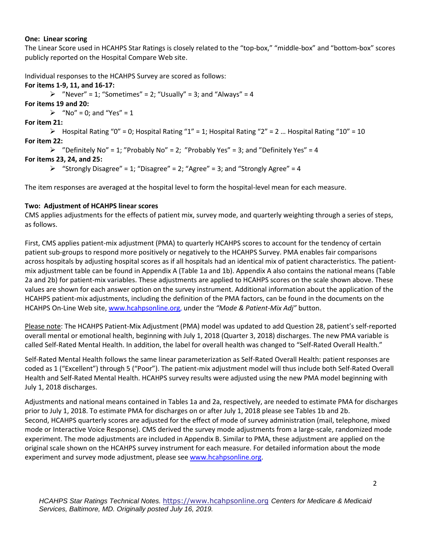#### **One: Linear scoring**

The Linear Score used in HCAHPS Star Ratings is closely related to the "top-box," "middle-box" and "bottom-box" scores publicly reported on the Hospital Compare Web site.

Individual responses to the HCAHPS Survey are scored as follows:

#### **For items 1-9, 11, and 16-17:**

 $\triangleright$  "Never" = 1; "Sometimes" = 2; "Usually" = 3; and "Always" = 4

**For items 19 and 20:**

 $\triangleright$  "No" = 0; and "Yes" = 1

**For item 21:**

 $\triangleright$  Hospital Rating "0" = 0; Hospital Rating "1" = 1; Hospital Rating "2" = 2 ... Hospital Rating "10" = 10 **For item 22:**

```
\triangleright "Definitely No" = 1; "Probably No" = 2; "Probably Yes" = 3; and "Definitely Yes" = 4
```
### **For items 23, 24, and 25:**

```
\triangleright "Strongly Disagree" = 1; "Disagree" = 2; "Agree" = 3; and "Strongly Agree" = 4
```
The item responses are averaged at the hospital level to form the hospital-level mean for each measure.

### **Two: Adjustment of HCAHPS linear scores**

CMS applies adjustments for the effects of patient mix, survey mode, and quarterly weighting through a series of steps, as follows.

First, CMS applies patient-mix adjustment (PMA) to quarterly HCAHPS scores to account for the tendency of certain patient sub-groups to respond more positively or negatively to the HCAHPS Survey. PMA enables fair comparisons across hospitals by adjusting hospital scores as if all hospitals had an identical mix of patient characteristics. The patientmix adjustment table can be found in Appendix A (Table 1a and 1b). Appendix A also contains the national means (Table 2a and 2b) for patient-mix variables. These adjustments are applied to HCAHPS scores on the scale shown above. These values are shown for each answer option on the survey instrument. Additional information about the application of the HCAHPS patient-mix adjustments, including the definition of the PMA factors, can be found in the documents on the HCAHPS On-Line Web site, [www.hcahpsonline.org,](http://www.hcahpsonline.org/) under the *"Mode & Patient-Mix Adj"* button.

Please note: The HCAHPS Patient-Mix Adjustment (PMA) model was updated to add Question 28, patient's self-reported overall mental or emotional health, beginning with July 1, 2018 (Quarter 3, 2018) discharges. The new PMA variable is called Self-Rated Mental Health. In addition, the label for overall health was changed to "Self-Rated Overall Health."

Self-Rated Mental Health follows the same linear parameterization as Self-Rated Overall Health: patient responses are coded as 1 ("Excellent") through 5 ("Poor"). The patient-mix adjustment model will thus include both Self-Rated Overall Health and Self-Rated Mental Health. HCAHPS survey results were adjusted using the new PMA model beginning with July 1, 2018 discharges.

Adjustments and national means contained in Tables 1a and 2a, respectively, are needed to estimate PMA for discharges prior to July 1, 2018. To estimate PMA for discharges on or after July 1, 2018 please see Tables 1b and 2b. Second, HCAHPS quarterly scores are adjusted for the effect of mode of survey administration (mail, telephone, mixed mode or Interactive Voice Response). CMS derived the survey mode adjustments from a large-scale, randomized mode experiment. The mode adjustments are included in Appendix B. Similar to PMA, these adjustment are applied on the original scale shown on the HCAHPS survey instrument for each measure. For detailed information about the mode experiment and survey mode adjustment, please see [www.hcahpsonline.org.](http://www.hcahpsonline.org/)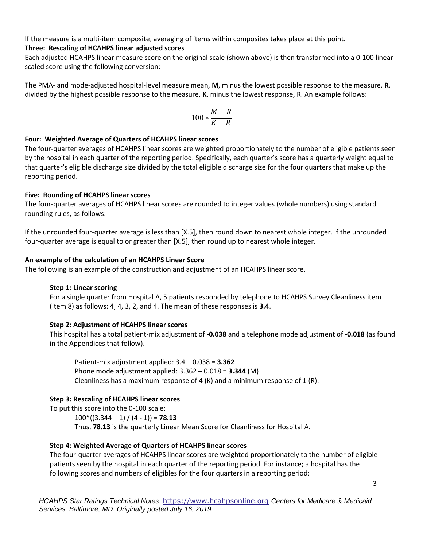If the measure is a multi-item composite, averaging of items within composites takes place at this point.

# **Three: Rescaling of HCAHPS linear adjusted scores**

Each adjusted HCAHPS linear measure score on the original scale (shown above) is then transformed into a 0-100 linearscaled score using the following conversion:

The PMA- and mode-adjusted hospital-level measure mean, **M**, minus the lowest possible response to the measure, **R**, divided by the highest possible response to the measure, **K**, minus the lowest response, R. An example follows:

$$
100*\frac{M-R}{K-R}
$$

#### **Four: Weighted Average of Quarters of HCAHPS linear scores**

The four-quarter averages of HCAHPS linear scores are weighted proportionately to the number of eligible patients seen by the hospital in each quarter of the reporting period. Specifically, each quarter's score has a quarterly weight equal to that quarter's eligible discharge size divided by the total eligible discharge size for the four quarters that make up the reporting period.

#### **Five: Rounding of HCAHPS linear scores**

The four-quarter averages of HCAHPS linear scores are rounded to integer values (whole numbers) using standard rounding rules, as follows:

If the unrounded four-quarter average is less than [X.5], then round down to nearest whole integer. If the unrounded four-quarter average is equal to or greater than [X.5], then round up to nearest whole integer.

### **An example of the calculation of an HCAHPS Linear Score**

The following is an example of the construction and adjustment of an HCAHPS linear score.

#### **Step 1: Linear scoring**

For a single quarter from Hospital A, 5 patients responded by telephone to HCAHPS Survey Cleanliness item (item 8) as follows: 4, 4, 3, 2, and 4. The mean of these responses is **3.4**.

# **Step 2: Adjustment of HCAHPS linear scores**

This hospital has a total patient-mix adjustment of **-0.038** and a telephone mode adjustment of **-0.018** (as found in the Appendices that follow).

Patient-mix adjustment applied: 3.4 – 0.038 = **3.362** Phone mode adjustment applied: 3.362 – 0.018 = **3.344** (M) Cleanliness has a maximum response of 4 (K) and a minimum response of 1 (R).

# **Step 3: Rescaling of HCAHPS linear scores**

To put this score into the 0-100 scale:

 $100*(3.344 - 1) / (4 - 1)$  = **78.13** Thus, **78.13** is the quarterly Linear Mean Score for Cleanliness for Hospital A.

# **Step 4: Weighted Average of Quarters of HCAHPS linear scores**

The four-quarter averages of HCAHPS linear scores are weighted proportionately to the number of eligible patients seen by the hospital in each quarter of the reporting period. For instance; a hospital has the following scores and numbers of eligibles for the four quarters in a reporting period: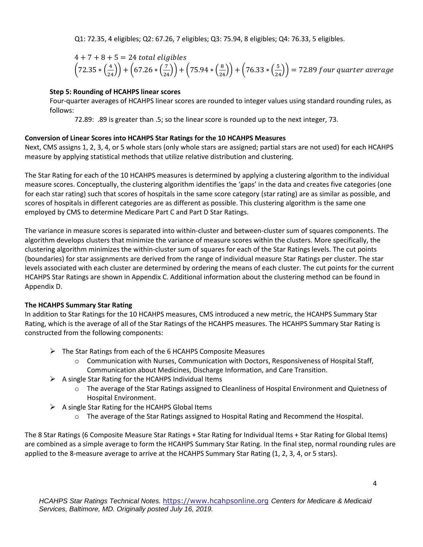Q1: 72.35, 4 eligibles; Q2: 67.26, 7 eligibles; Q3: 75.94, 8 eligibles; Q4: 76.33, 5 eligibles.

$$
4 + 7 + 8 + 5 = 24
$$
 total eligibles  
 $(72.35 * (\frac{4}{24})) + (67.26 * (\frac{7}{24})) + (75.94 * (\frac{8}{24})) + (76.33 * (\frac{5}{24})) = 72.89$  four quarter average

# **Step 5: Rounding of HCAHPS linear scores**

Four-quarter averages of HCAHPS linear scores are rounded to integer values using standard rounding rules, as follows:

72.89: .89 is greater than .5; so the linear score is rounded up to the next integer, 73.

# **Conversion of Linear Scores into HCAHPS Star Ratings for the 10 HCAHPS Measures**

Next, CMS assigns 1, 2, 3, 4, or 5 whole stars (only whole stars are assigned; partial stars are not used) for each HCAHPS measure by applying statistical methods that utilize relative distribution and clustering.

The Star Rating for each of the 10 HCAHPS measures is determined by applying a clustering algorithm to the individual measure scores. Conceptually, the clustering algorithm identifies the 'gaps' in the data and creates five categories (one for each star rating) such that scores of hospitals in the same score category (star rating) are as similar as possible, and scores of hospitals in different categories are as different as possible. This clustering algorithm is the same one employed by CMS to determine Medicare Part C and Part D Star Ratings.

The variance in measure scores is separated into within-cluster and between-cluster sum of squares components. The algorithm develops clusters that minimize the variance of measure scores within the clusters. More specifically, the clustering algorithm minimizes the within-cluster sum of squares for each of the Star Ratings levels. The cut points (boundaries) for star assignments are derived from the range of individual measure Star Ratings per cluster. The star levels associated with each cluster are determined by ordering the means of each cluster. The cut points for the current HCAHPS Star Ratings are shown in Appendix C. Additional information about the clustering method can be found in Appendix D.

# **The HCAHPS Summary Star Rating**

In addition to Star Ratings for the 10 HCAHPS measures, CMS introduced a new metric, the HCAHPS Summary Star Rating, which is the average of all of the Star Ratings of the HCAHPS measures. The HCAHPS Summary Star Rating is constructed from the following components:

- ➢ The Star Ratings from each of the 6 HCAHPS Composite Measures
	- o Communication with Nurses, Communication with Doctors, Responsiveness of Hospital Staff, Communication about Medicines, Discharge Information, and Care Transition.
- $\triangleright$  A single Star Rating for the HCAHPS Individual Items
	- $\circ$  The average of the Star Ratings assigned to Cleanliness of Hospital Environment and Quietness of Hospital Environment.
- $\triangleright$  A single Star Rating for the HCAHPS Global Items
	- o The average of the Star Ratings assigned to Hospital Rating and Recommend the Hospital.

The 8 Star Ratings (6 Composite Measure Star Ratings + Star Rating for Individual Items + Star Rating for Global Items) are combined as a simple average to form the HCAHPS Summary Star Rating. In the final step, normal rounding rules are applied to the 8-measure average to arrive at the HCAHPS Summary Star Rating (1, 2, 3, 4, or 5 stars).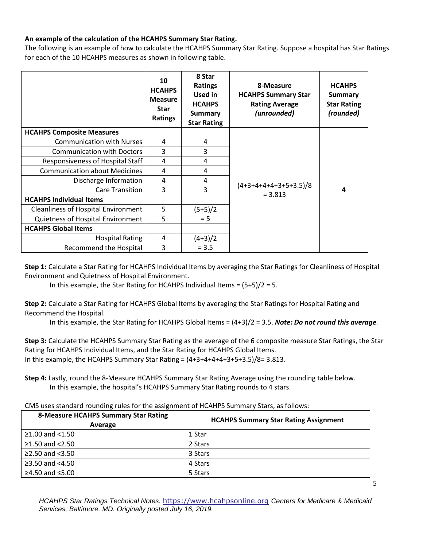### **An example of the calculation of the HCAHPS Summary Star Rating.**

The following is an example of how to calculate the HCAHPS Summary Star Rating. Suppose a hospital has Star Ratings for each of the 10 HCAHPS measures as shown in following table.

|                                      | 10<br><b>HCAHPS</b><br><b>Measure</b><br><b>Star</b><br><b>Ratings</b> | 8 Star<br><b>Ratings</b><br>Used in<br><b>HCAHPS</b><br><b>Summary</b><br><b>Star Rating</b> | 8-Measure<br><b>HCAHPS Summary Star</b><br><b>Rating Average</b><br>(unrounded) | <b>HCAHPS</b><br>Summary<br><b>Star Rating</b><br>(rounded) |
|--------------------------------------|------------------------------------------------------------------------|----------------------------------------------------------------------------------------------|---------------------------------------------------------------------------------|-------------------------------------------------------------|
| <b>HCAHPS Composite Measures</b>     |                                                                        |                                                                                              |                                                                                 |                                                             |
| <b>Communication with Nurses</b>     | 4                                                                      | 4                                                                                            |                                                                                 | 4                                                           |
| <b>Communication with Doctors</b>    | 3                                                                      | 3                                                                                            |                                                                                 |                                                             |
| Responsiveness of Hospital Staff     | 4                                                                      | 4                                                                                            |                                                                                 |                                                             |
| <b>Communication about Medicines</b> | 4                                                                      | 4                                                                                            |                                                                                 |                                                             |
| Discharge Information                | 4                                                                      | 4                                                                                            |                                                                                 |                                                             |
| Care Transition                      | 3                                                                      | 3                                                                                            | $(4+3+4+4+4+3+5+3.5)/8$<br>$= 3.813$                                            |                                                             |
| <b>HCAHPS Individual Items</b>       |                                                                        |                                                                                              |                                                                                 |                                                             |
| Cleanliness of Hospital Environment  | 5                                                                      | $(5+5)/2$                                                                                    |                                                                                 |                                                             |
| Quietness of Hospital Environment    | 5                                                                      | $= 5$                                                                                        |                                                                                 |                                                             |
| <b>HCAHPS Global Items</b>           |                                                                        |                                                                                              |                                                                                 |                                                             |
| <b>Hospital Rating</b>               | 4                                                                      | $(4+3)/2$                                                                                    |                                                                                 |                                                             |
| Recommend the Hospital               | 3                                                                      | $= 3.5$                                                                                      |                                                                                 |                                                             |

**Step 1:** Calculate a Star Rating for HCAHPS Individual Items by averaging the Star Ratings for Cleanliness of Hospital Environment and Quietness of Hospital Environment.

In this example, the Star Rating for HCAHPS Individual Items =  $(5+5)/2 = 5$ .

**Step 2:** Calculate a Star Rating for HCAHPS Global Items by averaging the Star Ratings for Hospital Rating and Recommend the Hospital.

In this example, the Star Rating for HCAHPS Global Items = (4+3)/2 = 3.5. *Note: Do not round this average.*

**Step 3:** Calculate the HCAHPS Summary Star Rating as the average of the 6 composite measure Star Ratings, the Star Rating for HCAHPS Individual Items, and the Star Rating for HCAHPS Global Items. In this example, the HCAHPS Summary Star Rating =  $(4+3+4+4+4+3+5+3.5)/8=3.813$ .

**Step 4:** Lastly, round the 8-Measure HCAHPS Summary Star Rating Average using the rounding table below. In this example, the hospital's HCAHPS Summary Star Rating rounds to 4 stars.

CMS uses standard rounding rules for the assignment of HCAHPS Summary Stars, as follows:

| <b>8-Measure HCAHPS Summary Star Rating</b><br>Average | <b>HCAHPS Summary Star Rating Assignment</b> |  |  |  |  |
|--------------------------------------------------------|----------------------------------------------|--|--|--|--|
| $≥1.00$ and <1.50                                      | 1 Star                                       |  |  |  |  |
| $≥1.50$ and $<2.50$                                    | 2 Stars                                      |  |  |  |  |
| $≥2.50$ and $< 3.50$                                   | 3 Stars                                      |  |  |  |  |
| ≥3.50 and $<4.50$                                      | 4 Stars                                      |  |  |  |  |
| ≥4.50 and $≤5.00$                                      | 5 Stars                                      |  |  |  |  |

*HCAHPS Star Ratings Technical Notes.* [https://www.hcahpsonline.org](https://www.hcahpsonline.org/) *Centers for Medicare & Medicaid Services, Baltimore, MD. Originally posted July 16, 2019.*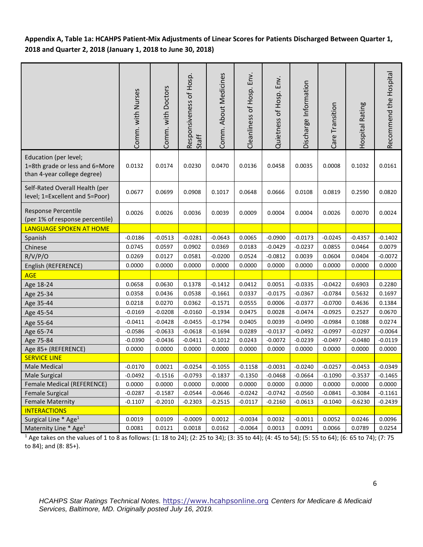**Appendix A, Table 1a: HCAHPS Patient-Mix Adjustments of Linear Scores for Patients Discharged Between Quarter 1, 2018 and Quarter 2, 2018 (January 1, 2018 to June 30, 2018)**

|                                                                                        | Comm. with Nurses | Comm. with Doctors | Responsiveness of Hosp.<br>Staff | Comm. About Medicines | Cleanliness of Hosp. Env. | Quietness of Hosp. Env. | Discharge Information | Transition<br>Care <sup>-</sup> | Hospital Rating | Recommend the Hospital |
|----------------------------------------------------------------------------------------|-------------------|--------------------|----------------------------------|-----------------------|---------------------------|-------------------------|-----------------------|---------------------------------|-----------------|------------------------|
| Education (per level;<br>1=8th grade or less and 6=More<br>than 4-year college degree) | 0.0132            | 0.0174             | 0.0230                           | 0.0470                | 0.0136                    | 0.0458                  | 0.0035                | 0.0008                          | 0.1032          | 0.0161                 |
| Self-Rated Overall Health (per<br>level; 1=Excellent and 5=Poor)                       | 0.0677            | 0.0699             | 0.0908                           | 0.1017                | 0.0648                    | 0.0666                  | 0.0108                | 0.0819                          | 0.2590          | 0.0820                 |
| Response Percentile<br>(per 1% of response percentile)                                 | 0.0026            | 0.0026             | 0.0036                           | 0.0039                | 0.0009                    | 0.0004                  | 0.0004                | 0.0026                          | 0.0070          | 0.0024                 |
| <b>LANGUAGE SPOKEN AT HOME</b>                                                         |                   |                    |                                  |                       |                           |                         |                       |                                 |                 |                        |
| Spanish                                                                                | $-0.0186$         | $-0.0513$          | $-0.0281$                        | $-0.0643$             | 0.0065                    | $-0.0900$               | $-0.0173$             | $-0.0245$                       | $-0.4357$       | $-0.1402$              |
| Chinese                                                                                | 0.0745            | 0.0597             | 0.0902                           | 0.0369                | 0.0183                    | $-0.0429$               | $-0.0237$             | 0.0855                          | 0.0464          | 0.0079                 |
| R/V/P/O                                                                                | 0.0269            | 0.0127             | 0.0581                           | $-0.0200$             | 0.0524                    | $-0.0812$               | 0.0039                | 0.0604                          | 0.0404          | $-0.0072$              |
| English (REFERENCE)                                                                    | 0.0000            | 0.0000             | 0.0000                           | 0.0000                | 0.0000                    | 0.0000                  | 0.0000                | 0.0000                          | 0.0000          | 0.0000                 |
| <b>AGE</b>                                                                             |                   |                    |                                  |                       |                           |                         |                       |                                 |                 |                        |
| Age 18-24                                                                              | 0.0658            | 0.0630             | 0.1378                           | $-0.1412$             | 0.0412                    | 0.0051                  | $-0.0335$             | $-0.0422$                       | 0.6903          | 0.2280                 |
| Age 25-34                                                                              | 0.0358            | 0.0436             | 0.0538                           | $-0.1661$             | 0.0337                    | $-0.0175$               | $-0.0367$             | $-0.0784$                       | 0.5632          | 0.1697                 |
| Age 35-44                                                                              | 0.0218            | 0.0270             | 0.0362                           | $-0.1571$             | 0.0555                    | 0.0006                  | $-0.0377$             | $-0.0700$                       | 0.4636          | 0.1384                 |
| Age 45-54                                                                              | $-0.0169$         | $-0.0208$          | $-0.0160$                        | $-0.1934$             | 0.0475                    | 0.0028                  | $-0.0474$             | $-0.0925$                       | 0.2527          | 0.0670                 |
| Age 55-64                                                                              | $-0.0411$         | $-0.0428$          | $-0.0455$                        | $-0.1794$             | 0.0405                    | 0.0039                  | $-0.0490$             | $-0.0984$                       | 0.1088          | 0.0274                 |
| Age 65-74                                                                              | $-0.0586$         | $-0.0633$          | $-0.0618$                        | $-0.1694$             | 0.0289                    | $-0.0137$               | $-0.0492$             | $-0.0997$                       | $-0.0297$       | $-0.0064$              |
| Age 75-84                                                                              | $-0.0390$         | $-0.0436$          | $-0.0411$                        | $-0.1012$             | 0.0243                    | $-0.0072$               | $-0.0239$             | $-0.0497$                       | $-0.0480$       | $-0.0119$              |
| Age 85+ (REFERENCE)                                                                    | 0.0000            | 0.0000             | 0.0000                           | 0.0000                | 0.0000                    | 0.0000                  | 0.0000                | 0.0000                          | 0.0000          | 0.0000                 |
| <b>SERVICE LINE</b>                                                                    |                   |                    |                                  |                       |                           |                         |                       |                                 |                 |                        |
| Male Medical                                                                           | $-0.0170$         | 0.0021             | $-0.0254$                        | $-0.1055$             | $-0.1158$                 | $-0.0031$               | $-0.0240$             | $-0.0257$                       | $-0.0453$       | $-0.0349$              |
| Male Surgical                                                                          | $-0.0492$         | $-0.1516$          | $-0.0793$                        | $-0.1837$             | $-0.1350$                 | $-0.0468$               | $-0.0664$             | $-0.1090$                       | $-0.3537$       | $-0.1465$              |
| Female Medical (REFERENCE)                                                             | 0.0000            | 0.0000             | 0.0000                           | 0.0000                | 0.0000                    | 0.0000                  | 0.0000                | 0.0000                          | 0.0000          | 0.0000                 |
| <b>Female Surgical</b>                                                                 | $-0.0287$         | $-0.1587$          | $-0.0544$                        | $-0.0646$             | $-0.0242$                 | $-0.0742$               | $-0.0560$             | $-0.0841$                       | $-0.3084$       | $-0.1161$              |
| <b>Female Maternity</b>                                                                | $-0.1107$         | $-0.2010$          | $-0.2303$                        | $-0.2515$             | $-0.0117$                 | $-0.2160$               | $-0.0613$             | $-0.1040$                       | $-0.6230$       | $-0.2439$              |
| <b>INTERACTIONS</b>                                                                    |                   |                    |                                  |                       |                           |                         |                       |                                 |                 |                        |
| Surgical Line * Age <sup>1</sup>                                                       | 0.0019            | 0.0109             | $-0.0009$                        | 0.0012                | $-0.0034$                 | 0.0032                  | $-0.0011$             | 0.0052                          | 0.0246          | 0.0096                 |
| Maternity Line * Age <sup>1</sup>                                                      | 0.0081            | 0.0121             | 0.0018                           | 0.0162                | $-0.0064$                 | 0.0013                  | 0.0091                | 0.0066                          | 0.0789          | 0.0254                 |

<sup>1</sup> Age takes on the values of 1 to 8 as follows: (1: 18 to 24); (2: 25 to 34); (3: 35 to 44); (4: 45 to 54); (5: 55 to 64); (6: 65 to 74); (7: 75 to 84); and (8: 85+).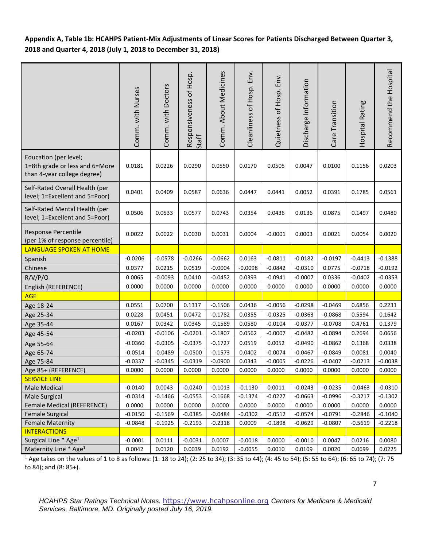**Appendix A, Table 1b: HCAHPS Patient-Mix Adjustments of Linear Scores for Patients Discharged Between Quarter 3, 2018 and Quarter 4, 2018 (July 1, 2018 to December 31, 2018)** 

|                                                                                        | Comm. with Nurses | Comm. with Doctors | Responsiveness of Hosp.<br>Staff | Comm. About Medicines | Cleanliness of Hosp. Env. | Quietness of Hosp. Env. | Discharge Information | Transition<br>Care <sup>-</sup> | Hospital Rating | Recommend the Hospital |
|----------------------------------------------------------------------------------------|-------------------|--------------------|----------------------------------|-----------------------|---------------------------|-------------------------|-----------------------|---------------------------------|-----------------|------------------------|
| Education (per level;<br>1=8th grade or less and 6=More<br>than 4-year college degree) | 0.0181            | 0.0226             | 0.0290                           | 0.0550                | 0.0170                    | 0.0505                  | 0.0047                | 0.0100                          | 0.1156          | 0.0203                 |
| Self-Rated Overall Health (per<br>level; 1=Excellent and 5=Poor)                       | 0.0401            | 0.0409             | 0.0587                           | 0.0636                | 0.0447                    | 0.0441                  | 0.0052                | 0.0391                          | 0.1785          | 0.0561                 |
| Self-Rated Mental Health (per<br>level; 1=Excellent and 5=Poor)                        | 0.0506            | 0.0533             | 0.0577                           | 0.0743                | 0.0354                    | 0.0436                  | 0.0136                | 0.0875                          | 0.1497          | 0.0480                 |
| Response Percentile<br>(per 1% of response percentile)                                 | 0.0022            | 0.0022             | 0.0030                           | 0.0031                | 0.0004                    | $-0.0001$               | 0.0003                | 0.0021                          | 0.0054          | 0.0020                 |
| LANGUAGE SPOKEN AT HOME                                                                |                   |                    |                                  |                       |                           |                         |                       |                                 |                 |                        |
| Spanish                                                                                | $-0.0206$         | $-0.0578$          | $-0.0266$                        | $-0.0662$             | 0.0163                    | $-0.0811$               | $-0.0182$             | $-0.0197$                       | $-0.4413$       | $-0.1388$              |
| Chinese                                                                                | 0.0377            | 0.0215             | 0.0519                           | $-0.0004$             | $-0.0098$                 | $-0.0842$               | $-0.0310$             | 0.0775                          | $-0.0718$       | $-0.0192$              |
| R/V/P/O                                                                                | 0.0065            | $-0.0093$          | 0.0410                           | $-0.0452$             | 0.0393                    | $-0.0941$               | $-0.0007$             | 0.0336                          | $-0.0402$       | $-0.0353$              |
| English (REFERENCE)                                                                    | 0.0000            | 0.0000             | 0.0000                           | 0.0000                | 0.0000                    | 0.0000                  | 0.0000                | 0.0000                          | 0.0000          | 0.0000                 |
| <b>AGE</b>                                                                             |                   |                    |                                  |                       |                           |                         |                       |                                 |                 |                        |
| Age 18-24                                                                              | 0.0551            | 0.0700             | 0.1317                           | $-0.1506$             | 0.0436                    | $-0.0056$               | $-0.0298$             | $-0.0469$                       | 0.6856          | 0.2231                 |
| Age 25-34                                                                              | 0.0228            | 0.0451             | 0.0472                           | $-0.1782$             | 0.0355                    | $-0.0325$               | $-0.0363$             | $-0.0868$                       | 0.5594          | 0.1642                 |
| Age 35-44                                                                              | 0.0167            | 0.0342             | 0.0345                           | $-0.1589$             | 0.0580                    | $-0.0104$               | $-0.0377$             | $-0.0708$                       | 0.4761          | 0.1379                 |
| Age 45-54                                                                              | -0.0203           | $-0.0106$          | $-0.0201$                        | $-0.1807$             | 0.0562                    | $-0.0007$               | $-0.0482$             | $-0.0894$                       | 0.2694          | 0.0656                 |
| Age 55-64                                                                              | $-0.0360$         | $-0.0305$          | $-0.0375$                        | $-0.1727$             | 0.0519                    | 0.0052                  | $-0.0490$             | $-0.0862$                       | 0.1368          | 0.0338                 |
| Age 65-74                                                                              | $-0.0514$         | $-0.0489$          | $-0.0500$                        | $-0.1573$             | 0.0402                    | $-0.0074$               | $-0.0467$             | $-0.0849$                       | 0.0081          | 0.0040                 |
| Age 75-84                                                                              | $-0.0337$         | $-0.0345$          | $-0.0319$                        | $-0.0900$             | 0.0343                    | $-0.0005$               | $-0.0226$             | $-0.0407$                       | $-0.0213$       | $-0.0038$              |
| Age 85+ (REFERENCE)                                                                    | 0.0000            | 0.0000             | 0.0000                           | 0.0000                | 0.0000                    | 0.0000                  | 0.0000                | 0.0000                          | 0.0000          | 0.0000                 |
| <b>SERVICE LINE</b>                                                                    |                   |                    |                                  |                       |                           |                         |                       |                                 |                 |                        |
| Male Medical                                                                           | $-0.0140$         | 0.0043             | $-0.0240$                        | $-0.1013$             | $-0.1130$                 | 0.0011                  | $-0.0243$             | $-0.0235$                       | $-0.0463$       | $-0.0310$              |
| Male Surgical                                                                          | $-0.0314$         | $-0.1466$          | $-0.0553$                        | $-0.1668$             | $-0.1374$                 | $-0.0227$               | $-0.0663$             | $-0.0996$                       | $-0.3217$       | $-0.1302$              |
| Female Medical (REFERENCE)                                                             | 0.0000            | 0.0000             | 0.0000                           | 0.0000                | 0.0000                    | 0.0000                  | 0.0000                | 0.0000                          | 0.0000          | 0.0000                 |
| Female Surgical                                                                        | $-0.0150$         | $-0.1569$          | $-0.0385$                        | $-0.0484$             | $-0.0302$                 | $-0.0512$               | $-0.0574$             | $-0.0791$                       | $-0.2846$       | $-0.1040$              |
| <b>Female Maternity</b>                                                                | $-0.0848$         | $-0.1925$          | $-0.2193$                        | $-0.2318$             | 0.0009                    | $-0.1898$               | $-0.0629$             | $-0.0807$                       | $-0.5619$       | $-0.2218$              |
| <b>INTERACTIONS</b><br>Surgical Line * Age <sup>1</sup>                                | $-0.0001$         | 0.0111             | $-0.0031$                        | 0.0007                | $-0.0018$                 | 0.0000                  | $-0.0010$             | 0.0047                          | 0.0216          | 0.0080                 |
| Maternity Line * Age <sup>1</sup>                                                      | 0.0042            | 0.0120             | 0.0039                           | 0.0192                | $-0.0055$                 | 0.0010                  | 0.0109                | 0.0020                          | 0.0699          | 0.0225                 |
|                                                                                        |                   |                    |                                  |                       |                           |                         |                       |                                 |                 |                        |

<sup>1</sup> Age takes on the values of 1 to 8 as follows: (1: 18 to 24); (2: 25 to 34); (3: 35 to 44); (4: 45 to 54); (5: 55 to 64); (6: 65 to 74); (7: 75 to 84); and (8: 85+).

*HCAHPS Star Ratings Technical Notes.* [https://www.hcahpsonline.org](https://www.hcahpsonline.org/) *Centers for Medicare & Medicaid Services, Baltimore, MD. Originally posted July 16, 2019.*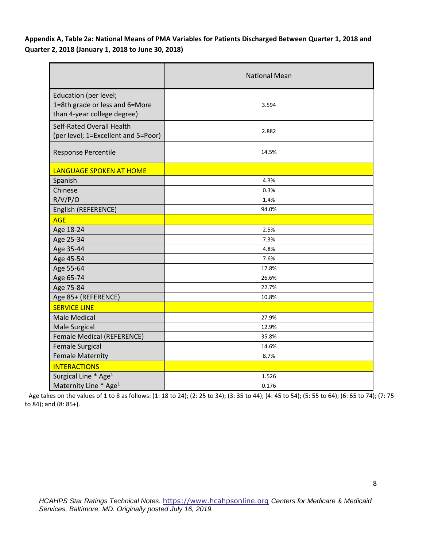**Appendix A, Table 2a: National Means of PMA Variables for Patients Discharged Between Quarter 1, 2018 and Quarter 2, 2018 (January 1, 2018 to June 30, 2018)**

|                                                                                        | <b>National Mean</b> |
|----------------------------------------------------------------------------------------|----------------------|
| Education (per level;<br>1=8th grade or less and 6=More<br>than 4-year college degree) | 3.594                |
| Self-Rated Overall Health<br>(per level; 1=Excellent and 5=Poor)                       | 2.882                |
| Response Percentile                                                                    | 14.5%                |
| LANGUAGE SPOKEN AT HOME                                                                |                      |
| Spanish                                                                                | 4.3%                 |
| Chinese                                                                                | 0.3%                 |
| R/V/P/O                                                                                | 1.4%                 |
| English (REFERENCE)                                                                    | 94.0%                |
| <b>AGE</b>                                                                             |                      |
| Age 18-24                                                                              | 2.5%                 |
| Age 25-34                                                                              | 7.3%                 |
| Age 35-44                                                                              | 4.8%                 |
| Age 45-54                                                                              | 7.6%                 |
| Age 55-64                                                                              | 17.8%                |
| Age 65-74                                                                              | 26.6%                |
| Age 75-84                                                                              | 22.7%                |
| Age 85+ (REFERENCE)                                                                    | 10.8%                |
| <b>SERVICE LINE</b>                                                                    |                      |
| <b>Male Medical</b>                                                                    | 27.9%                |
| <b>Male Surgical</b>                                                                   | 12.9%                |
| Female Medical (REFERENCE)                                                             | 35.8%                |
| <b>Female Surgical</b>                                                                 | 14.6%                |
| <b>Female Maternity</b>                                                                | 8.7%                 |
| <b>INTERACTIONS</b>                                                                    |                      |
| Surgical Line * Age <sup>1</sup>                                                       | 1.526                |
| Maternity Line * Age <sup>1</sup>                                                      | 0.176                |

<sup>1</sup> Age takes on the values of 1 to 8 as follows: (1: 18 to 24); (2: 25 to 34); (3: 35 to 44); (4: 45 to 54); (5: 55 to 64); (6: 65 to 74); (7: 75 to 84); and (8: 85+).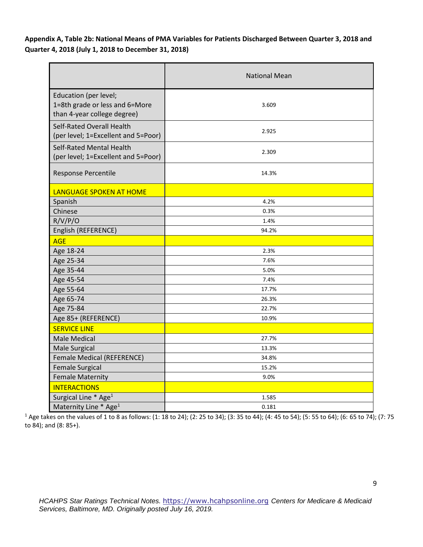**Appendix A, Table 2b: National Means of PMA Variables for Patients Discharged Between Quarter 3, 2018 and Quarter 4, 2018 (July 1, 2018 to December 31, 2018)** 

|                                                                                        | <b>National Mean</b> |
|----------------------------------------------------------------------------------------|----------------------|
| Education (per level;<br>1=8th grade or less and 6=More<br>than 4-year college degree) | 3.609                |
| Self-Rated Overall Health<br>(per level; 1=Excellent and 5=Poor)                       | 2.925                |
| Self-Rated Mental Health<br>(per level; 1=Excellent and 5=Poor)                        | 2.309                |
| Response Percentile                                                                    | 14.3%                |
| LANGUAGE SPOKEN AT HOME                                                                |                      |
| Spanish                                                                                | 4.2%                 |
| Chinese                                                                                | 0.3%                 |
| R/V/P/O                                                                                | 1.4%                 |
| English (REFERENCE)                                                                    | 94.2%                |
| <b>AGE</b>                                                                             |                      |
| Age 18-24                                                                              | 2.3%                 |
| Age 25-34                                                                              | 7.6%                 |
| Age 35-44                                                                              | 5.0%                 |
| Age 45-54                                                                              | 7.4%                 |
| Age 55-64                                                                              | 17.7%                |
| Age 65-74                                                                              | 26.3%                |
| Age 75-84                                                                              | 22.7%                |
| Age 85+ (REFERENCE)                                                                    | 10.9%                |
| <b>SERVICE LINE</b>                                                                    |                      |
| <b>Male Medical</b>                                                                    | 27.7%                |
| <b>Male Surgical</b>                                                                   | 13.3%                |
| Female Medical (REFERENCE)                                                             | 34.8%                |
| <b>Female Surgical</b>                                                                 | 15.2%                |
| <b>Female Maternity</b>                                                                | 9.0%                 |
| <b>INTERACTIONS</b>                                                                    |                      |
| Surgical Line * Age <sup>1</sup>                                                       | 1.585                |
| Maternity Line * Age <sup>1</sup>                                                      | 0.181                |

<sup>1</sup> Age takes on the values of 1 to 8 as follows: (1: 18 to 24); (2: 25 to 34); (3: 35 to 44); (4: 45 to 54); (5: 55 to 64); (6: 65 to 74); (7: 75 to 84); and (8: 85+).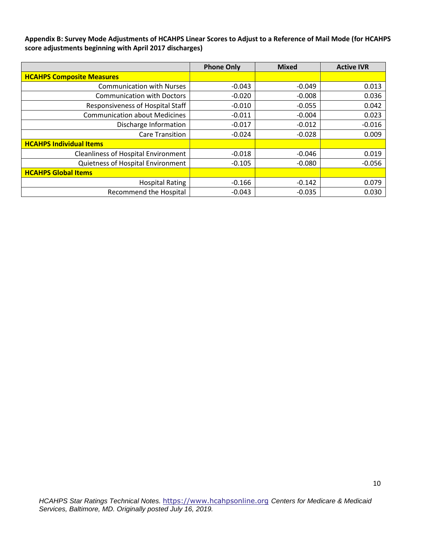**Appendix B: Survey Mode Adjustments of HCAHPS Linear Scores to Adjust to a Reference of Mail Mode (for HCAHPS score adjustments beginning with April 2017 discharges)**

|                                            | <b>Phone Only</b> | <b>Mixed</b> | <b>Active IVR</b> |
|--------------------------------------------|-------------------|--------------|-------------------|
| <b>HCAHPS Composite Measures</b>           |                   |              |                   |
| <b>Communication with Nurses</b>           | $-0.043$          | $-0.049$     | 0.013             |
| <b>Communication with Doctors</b>          | $-0.020$          | $-0.008$     | 0.036             |
| Responsiveness of Hospital Staff           | $-0.010$          | $-0.055$     | 0.042             |
| <b>Communication about Medicines</b>       | $-0.011$          | $-0.004$     | 0.023             |
| Discharge Information                      | $-0.017$          | $-0.012$     | $-0.016$          |
| Care Transition                            | $-0.024$          | $-0.028$     | 0.009             |
| <b>HCAHPS Individual Items</b>             |                   |              |                   |
| <b>Cleanliness of Hospital Environment</b> | $-0.018$          | $-0.046$     | 0.019             |
| Quietness of Hospital Environment          | $-0.105$          | $-0.080$     | $-0.056$          |
| <b>HCAHPS Global Items</b>                 |                   |              |                   |
| <b>Hospital Rating</b>                     | $-0.166$          | $-0.142$     | 0.079             |
| <b>Recommend the Hospital</b>              | $-0.043$          | $-0.035$     | 0.030             |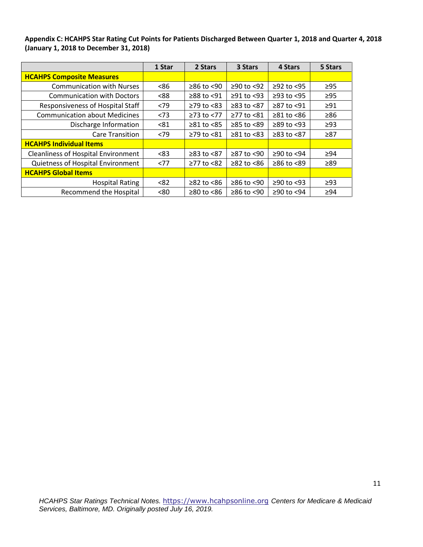**Appendix C: HCAHPS Star Rating Cut Points for Patients Discharged Between Quarter 1, 2018 and Quarter 4, 2018 (January 1, 2018 to December 31, 2018)**

|                                            | 1 Star | 2 Stars               | 3 Stars         | 4 Stars          | 5 Stars   |
|--------------------------------------------|--------|-----------------------|-----------------|------------------|-----------|
| <b>HCAHPS Composite Measures</b>           |        |                       |                 |                  |           |
| <b>Communication with Nurses</b>           | <86    | $≥86$ to $≤90$        | ≥90 to <92      | $≥92$ to $<95$   | $\geq$ 95 |
| <b>Communication with Doctors</b>          | <88    | ≥88 to <91            | $≥91$ to <93    | $≥93$ to $<95$   | $\geq$ 95 |
| Responsiveness of Hospital Staff           | <79    | $\geq$ 79 to <83      | $≥83$ to $≤87$  | $≥87$ to $≤91$   | $\geq 91$ |
| <b>Communication about Medicines</b>       | < 73   | $\geq$ 73 to $\lt$ 77 | $≥77$ to $≤81$  | $≥81$ to $≤86$   | $\geq 86$ |
| Discharge Information                      | < 81   | $≥81$ to $≤85$        | ≥85 to <89      | $\geq$ 89 to <93 | $\geq$ 93 |
| <b>Care Transition</b>                     | <79    | $≥79$ to $≤81$        | $≥81$ to $< 83$ | $≥83$ to $< 87$  | $\geq 87$ |
| <b>HCAHPS Individual Items</b>             |        |                       |                 |                  |           |
| <b>Cleanliness of Hospital Environment</b> | < 83   | ≥83 to <87            | ≥87 to <90      | $≥90$ to $<94$   | $\geq$ 94 |
| Quietness of Hospital Environment          | <77    | $≥77$ to $≤82$        | $≥82$ to $≤86$  | $≥86$ to $≤89$   | $\geq 89$ |
| <b>HCAHPS Global Items</b>                 |        |                       |                 |                  |           |
| <b>Hospital Rating</b>                     | < 82   | $≥82$ to $≤86$        | ≥86 to <90      | $≥90$ to <93     | $\geq$ 93 |
| <b>Recommend the Hospital</b>              | <80    | $≥80$ to $<86$        | ≥86 to <90      | ≥90 to <94       | $\geq$ 94 |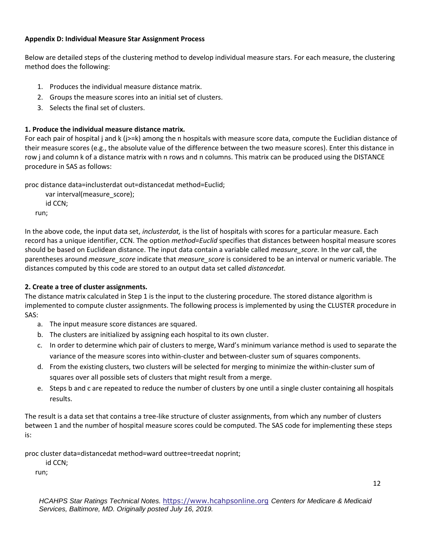### **Appendix D: Individual Measure Star Assignment Process**

Below are detailed steps of the clustering method to develop individual measure stars. For each measure, the clustering method does the following:

- 1. Produces the individual measure distance matrix.
- 2. Groups the measure scores into an initial set of clusters.
- 3. Selects the final set of clusters.

# **1. Produce the individual measure distance matrix.**

For each pair of hospital j and k (j>=k) among the n hospitals with measure score data, compute the Euclidian distance of their measure scores (e.g., the absolute value of the difference between the two measure scores). Enter this distance in row j and column k of a distance matrix with n rows and n columns. This matrix can be produced using the DISTANCE procedure in SAS as follows:

proc distance data=inclusterdat out=distancedat method=Euclid;

```
 var interval(measure_score);
   id CCN;
run;
```
In the above code, the input data set, *inclusterdat,* is the list of hospitals with scores for a particular measure. Each record has a unique identifier, CCN. The option *method=Euclid* specifies that distances between hospital measure scores should be based on Euclidean distance. The input data contain a variable called *measure\_score.* In the *var* call, the parentheses around *measure\_score* indicate that *measure\_score* is considered to be an interval or numeric variable. The distances computed by this code are stored to an output data set called *distancedat.*

# **2. Create a tree of cluster assignments.**

The distance matrix calculated in Step 1 is the input to the clustering procedure. The stored distance algorithm is implemented to compute cluster assignments. The following process is implemented by using the CLUSTER procedure in SAS:

- a. The input measure score distances are squared.
- b. The clusters are initialized by assigning each hospital to its own cluster.
- c. In order to determine which pair of clusters to merge, Ward's minimum variance method is used to separate the variance of the measure scores into within-cluster and between-cluster sum of squares components.
- d. From the existing clusters, two clusters will be selected for merging to minimize the within-cluster sum of squares over all possible sets of clusters that might result from a merge.
- e. Steps b and c are repeated to reduce the number of clusters by one until a single cluster containing all hospitals results.

The result is a data set that contains a tree-like structure of cluster assignments, from which any number of clusters between 1 and the number of hospital measure scores could be computed. The SAS code for implementing these steps is:

proc cluster data=distancedat method=ward outtree=treedat noprint;

id CCN;

run;